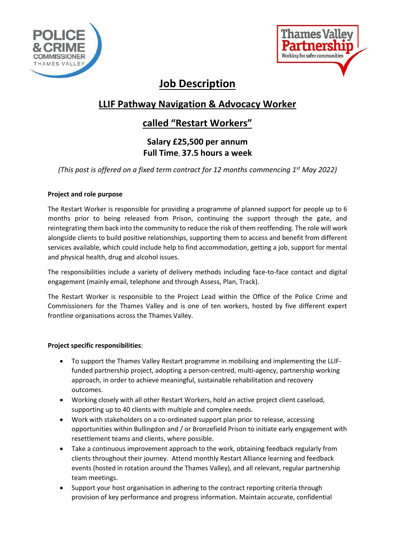



# **Job Description**

## **LLIF Pathway Navigation & Advocacy Worker**

### **called "Restart Workers"**

### **Salary £25,500 per annum Full Time**, **37.5 hours a week**

*(This post is offered on a fixed term contract for 12 months commencing 1st May 2022)*

#### **Project and role purpose**

The Restart Worker is responsible for providing a programme of planned support for people up to 6 months prior to being released from Prison, continuing the support through the gate, and reintegrating them back into the community to reduce the risk of them reoffending. The role will work alongside clients to build positive relationships, supporting them to access and benefit from different services available, which could include help to find accommodation, getting a job, support for mental and physical health, drug and alcohol issues.

The responsibilities include a variety of delivery methods including face-to-face contact and digital engagement (mainly email, telephone and through Assess, Plan, Track).

The Restart Worker is responsible to the Project Lead within the Office of the Police Crime and Commissioners for the Thames Valley and is one of ten workers, hosted by five different expert frontline organisations across the Thames Valley.

#### **Project specific responsibilities**:

- To support the Thames Valley Restart programme in mobilising and implementing the LLIFfunded partnership project, adopting a person-centred, multi-agency, partnership working approach, in order to achieve meaningful, sustainable rehabilitation and recovery outcomes.
- Working closely with all other Restart Workers, hold an active project client caseload, supporting up to 40 clients with multiple and complex needs.
- Work with stakeholders on a co-ordinated support plan prior to release, accessing opportunities within Bullingdon and / or Bronzefield Prison to initiate early engagement with resettlement teams and clients, where possible.
- Take a continuous improvement approach to the work, obtaining feedback regularly from clients throughout their journey. Attend monthly Restart Alliance learning and feedback events (hosted in rotation around the Thames Valley), and all relevant, regular partnership team meetings.
- Support your host organisation in adhering to the contract reporting criteria through provision of key performance and progress information. Maintain accurate, confidential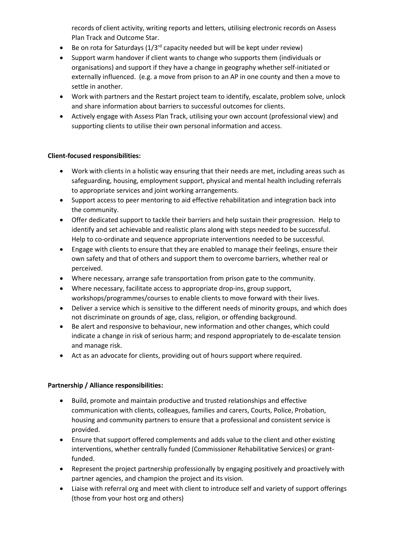records of client activity, writing reports and letters, utilising electronic records on Assess Plan Track and Outcome Star.

- Be on rota for Saturdays  $(1/3^{rd}$  capacity needed but will be kept under review)
- Support warm handover if client wants to change who supports them (individuals or organisations) and support if they have a change in geography whether self-initiated or externally influenced. (e.g. a move from prison to an AP in one county and then a move to settle in another.
- Work with partners and the Restart project team to identify, escalate, problem solve, unlock and share information about barriers to successful outcomes for clients.
- Actively engage with Assess Plan Track, utilising your own account (professional view) and supporting clients to utilise their own personal information and access.

#### **Client-focused responsibilities:**

- Work with clients in a holistic way ensuring that their needs are met, including areas such as safeguarding, housing, employment support, physical and mental health including referrals to appropriate services and joint working arrangements.
- Support access to peer mentoring to aid effective rehabilitation and integration back into the community.
- Offer dedicated support to tackle their barriers and help sustain their progression. Help to identify and set achievable and realistic plans along with steps needed to be successful. Help to co-ordinate and sequence appropriate interventions needed to be successful.
- Engage with clients to ensure that they are enabled to manage their feelings, ensure their own safety and that of others and support them to overcome barriers, whether real or perceived.
- Where necessary, arrange safe transportation from prison gate to the community.
- Where necessary, facilitate access to appropriate drop-ins, group support, workshops/programmes/courses to enable clients to move forward with their lives.
- Deliver a service which is sensitive to the different needs of minority groups, and which does not discriminate on grounds of age, class, religion, or offending background.
- Be alert and responsive to behaviour, new information and other changes, which could indicate a change in risk of serious harm; and respond appropriately to de-escalate tension and manage risk.
- Act as an advocate for clients, providing out of hours support where required.

#### **Partnership / Alliance responsibilities:**

- Build, promote and maintain productive and trusted relationships and effective communication with clients, colleagues, families and carers, Courts, Police, Probation, housing and community partners to ensure that a professional and consistent service is provided.
- Ensure that support offered complements and adds value to the client and other existing interventions, whether centrally funded (Commissioner Rehabilitative Services) or grantfunded.
- Represent the project partnership professionally by engaging positively and proactively with partner agencies, and champion the project and its vision.
- Liaise with referral org and meet with client to introduce self and variety of support offerings (those from your host org and others)